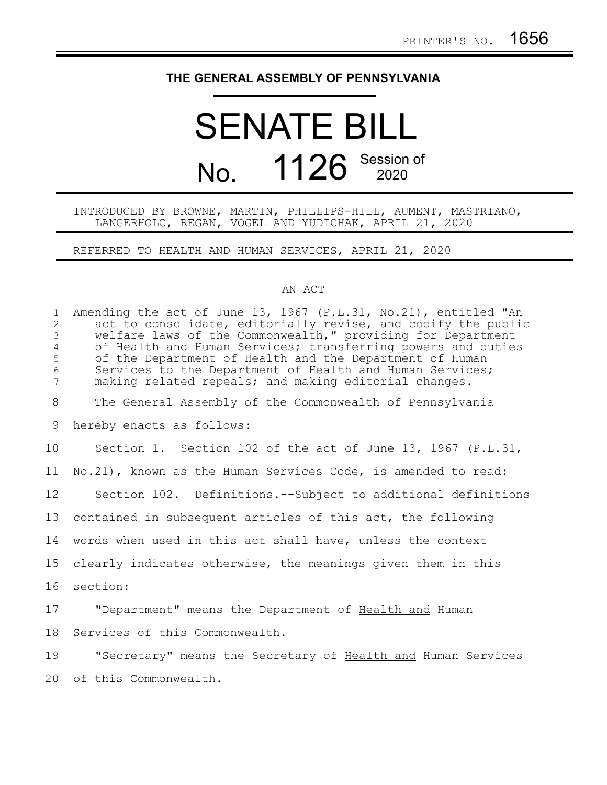## **THE GENERAL ASSEMBLY OF PENNSYLVANIA**

## SENATE BILL No. 1126 Session of

## INTRODUCED BY BROWNE, MARTIN, PHILLIPS-HILL, AUMENT, MASTRIANO, LANGERHOLC, REGAN, VOGEL AND YUDICHAK, APRIL 21, 2020

REFERRED TO HEALTH AND HUMAN SERVICES, APRIL 21, 2020

## AN ACT

| $\mathbf{1}$<br>$\overline{c}$<br>3<br>4<br>5<br>6<br>7 | Amending the act of June 13, 1967 (P.L.31, No.21), entitled "An<br>act to consolidate, editorially revise, and codify the public<br>welfare laws of the Commonwealth," providing for Department<br>of Health and Human Services; transferring powers and duties<br>of the Department of Health and the Department of Human<br>Services to the Department of Health and Human Services;<br>making related repeals; and making editorial changes. |
|---------------------------------------------------------|-------------------------------------------------------------------------------------------------------------------------------------------------------------------------------------------------------------------------------------------------------------------------------------------------------------------------------------------------------------------------------------------------------------------------------------------------|
| 8                                                       | The General Assembly of the Commonwealth of Pennsylvania                                                                                                                                                                                                                                                                                                                                                                                        |
| 9                                                       | hereby enacts as follows:                                                                                                                                                                                                                                                                                                                                                                                                                       |
| 10                                                      | Section 1. Section 102 of the act of June 13, 1967 (P.L.31,                                                                                                                                                                                                                                                                                                                                                                                     |
| 11                                                      | No.21), known as the Human Services Code, is amended to read:                                                                                                                                                                                                                                                                                                                                                                                   |
| 12                                                      | Section 102. Definitions.--Subject to additional definitions                                                                                                                                                                                                                                                                                                                                                                                    |
| 13                                                      | contained in subsequent articles of this act, the following                                                                                                                                                                                                                                                                                                                                                                                     |
| 14                                                      | words when used in this act shall have, unless the context                                                                                                                                                                                                                                                                                                                                                                                      |
| 15                                                      | clearly indicates otherwise, the meanings given them in this                                                                                                                                                                                                                                                                                                                                                                                    |
| 16                                                      | section:                                                                                                                                                                                                                                                                                                                                                                                                                                        |
| 17                                                      | "Department" means the Department of Health and Human                                                                                                                                                                                                                                                                                                                                                                                           |
| 18                                                      | Services of this Commonwealth.                                                                                                                                                                                                                                                                                                                                                                                                                  |
| 19                                                      | "Secretary" means the Secretary of Health and Human Services                                                                                                                                                                                                                                                                                                                                                                                    |
| 20                                                      | of this Commonwealth.                                                                                                                                                                                                                                                                                                                                                                                                                           |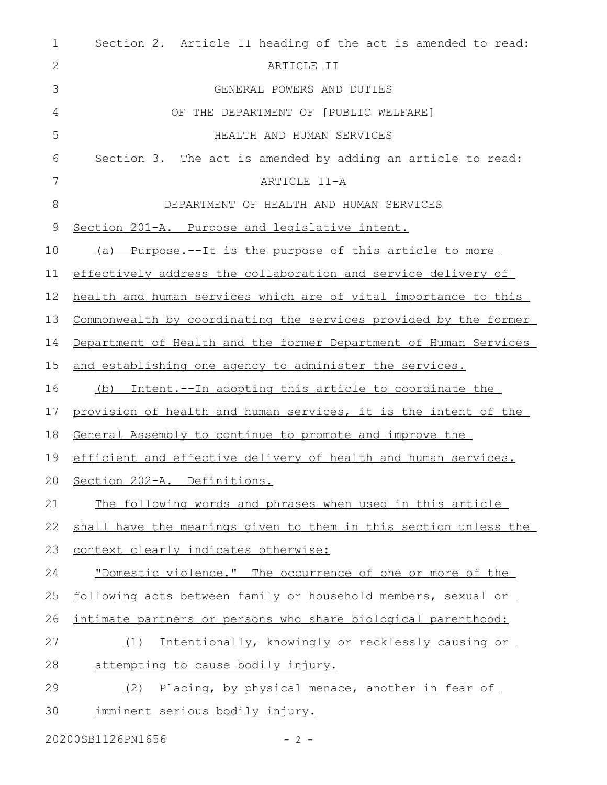| $\mathbf 1$ | Section 2. Article II heading of the act is amended to read:      |
|-------------|-------------------------------------------------------------------|
| 2           | ARTICLE II                                                        |
| 3           | GENERAL POWERS AND DUTIES                                         |
| 4           | OF THE DEPARTMENT OF [PUBLIC WELFARE]                             |
| 5           | HEALTH AND HUMAN SERVICES                                         |
| 6           | Section 3. The act is amended by adding an article to read:       |
| 7           | ARTICLE II-A                                                      |
| 8           | DEPARTMENT OF HEALTH AND HUMAN SERVICES                           |
| 9           | Section 201-A. Purpose and legislative intent.                    |
| 10          | <u>Purpose.--It is the purpose of this article to more</u><br>(a) |
| 11          | effectively address the collaboration and service delivery of     |
| 12          | health and human services which are of vital importance to this   |
| 13          | Commonwealth by coordinating the services provided by the former  |
| 14          | Department of Health and the former Department of Human Services  |
| 15          | and establishing one agency to administer the services.           |
| 16          | (b) Intent.--In adopting this article to coordinate the           |
| 17          | provision of health and human services, it is the intent of the   |
| 18          | General Assembly to continue to promote and improve the           |
| 19          | efficient and effective delivery of health and human services.    |
|             | 20 Section 202-A. Definitions.                                    |
| 21          | The following words and phrases when used in this article         |
| 22          | shall have the meanings given to them in this section unless the  |
| 23          | context clearly indicates otherwise:                              |
| 24          | "Domestic violence." The occurrence of one or more of the         |
| 25          | following acts between family or household members, sexual or     |
| 26          | intimate partners or persons who share biological parenthood:     |
| 27          | Intentionally, knowingly or recklessly causing or<br>(1)          |
| 28          | attempting to cause bodily injury.                                |
| 29          | (2) Placing, by physical menace, another in fear of               |
| 30          | imminent serious bodily injury.                                   |

20200SB1126PN1656 - 2 -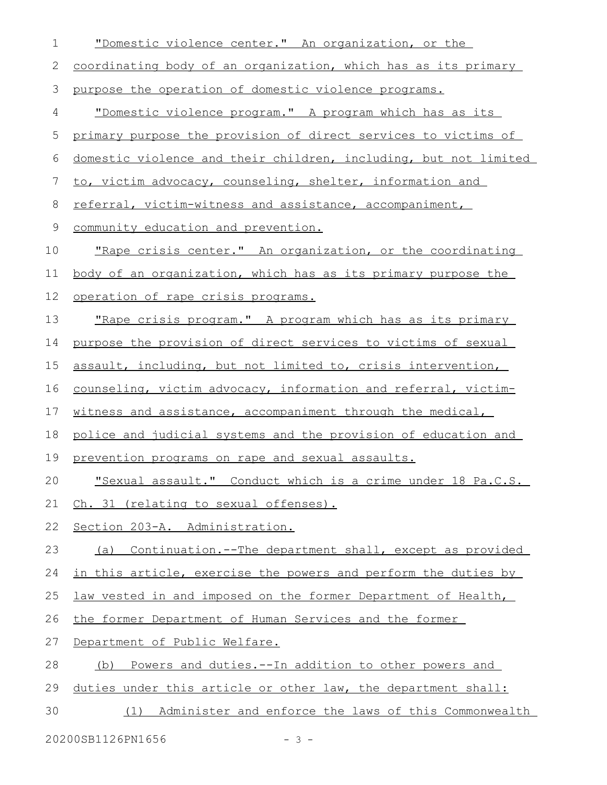| $\mathbf 1$  | "Domestic violence center." An organization, or the               |
|--------------|-------------------------------------------------------------------|
| $\mathbf{2}$ | coordinating body of an organization, which has as its primary    |
| 3            | purpose the operation of domestic violence programs.              |
| 4            | "Domestic violence program." A program which has as its           |
| 5            | primary purpose the provision of direct services to victims of    |
| 6            | domestic violence and their children, including, but not limited  |
| 7            | to, victim advocacy, counseling, shelter, information and         |
| 8            | referral, victim-witness and assistance, accompaniment,           |
| $\mathsf 9$  | community education and prevention.                               |
| 10           | "Rape crisis center." An organization, or the coordinating        |
| 11           | body of an organization, which has as its primary purpose the     |
| 12           | operation of rape crisis programs.                                |
| 13           | <u>"Rape crisis program." A program which has as its primary</u>  |
| 14           | purpose the provision of direct services to victims of sexual     |
| 15           | assault, including, but not limited to, crisis intervention,      |
| 16           | counseling, victim advocacy, information and referral, victim-    |
| 17           | witness and assistance, accompaniment through the medical,        |
| 18           | police and judicial systems and the provision of education and    |
| 19           | prevention programs on rape and sexual assaults.                  |
| 20           | "Sexual assault." Conduct which is a crime under 18 Pa.C.S.       |
| 21           | Ch. 31 (relating to sexual offenses).                             |
| 22           | Section 203-A. Administration.                                    |
| 23           | (a) Continuation.--The department shall, except as provided       |
| 24           | in this article, exercise the powers and perform the duties by    |
| 25           | law vested in and imposed on the former Department of Health,     |
| 26           | the former Department of Human Services and the former            |
| 27           | Department of Public Welfare.                                     |
| 28           | <u>Powers and duties.--In addition to other powers and</u><br>(b) |
| 29           | duties under this article or other law, the department shall:     |
| 30           | Administer and enforce the laws of this Commonwealth<br>(1)       |
|              | 20200SB1126PN1656<br>$-3-$                                        |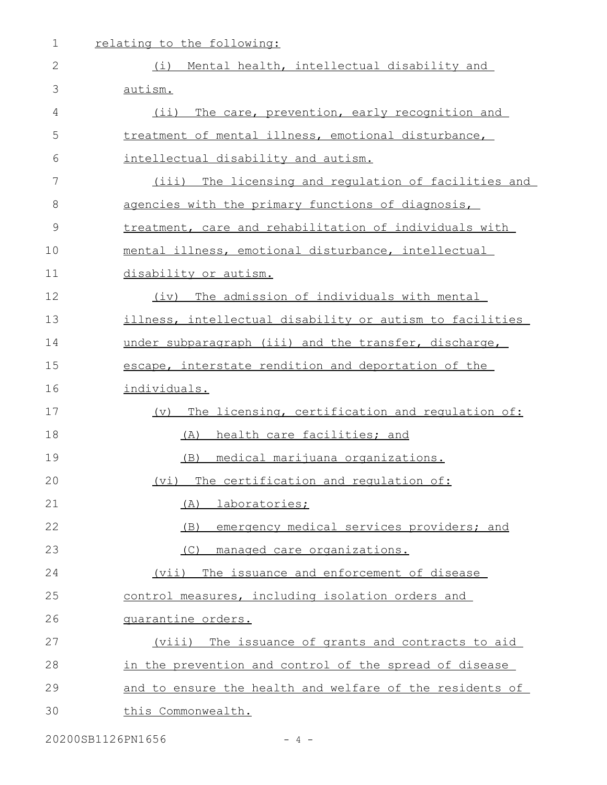| $\mathbf 1$   | relating to the following:                               |
|---------------|----------------------------------------------------------|
| $\mathbf{2}$  | Mental health, intellectual disability and<br>(i)        |
| 3             | autism.                                                  |
| 4             | $(i$ i)<br>The care, prevention, early recognition and   |
| 5             | treatment of mental illness, emotional disturbance,      |
| 6             | intellectual disability and autism.                      |
| 7             | (iii)<br>The licensing and regulation of facilities and  |
| 8             | agencies with the primary functions of diagnosis,        |
| $\mathcal{G}$ | treatment, care and rehabilitation of individuals with   |
| 10            | mental illness, emotional disturbance, intellectual      |
| 11            | disability or autism.                                    |
| 12            | The admission of individuals with mental<br>(iv)         |
| 13            | illness, intellectual disability or autism to facilities |
| 14            | under subparagraph (iii) and the transfer, discharge,    |
| 15            | escape, interstate rendition and deportation of the      |
| 16            | individuals.                                             |
| 17            | (v) The licensing, certification and regulation of:      |
| 18            | health care facilities; and<br>(A)                       |
| 19            | <u>medical marijuana organizations.</u><br>(B)           |
| 20            | (vi) The certification and requlation of:                |
| 21            | (A) laboratories;                                        |
| 22            | emergency medical services providers; and<br>(B)         |
| 23            | (C)<br>managed care organizations.                       |
| 24            | (vii) The issuance and enforcement of disease            |
| 25            | control measures, including isolation orders and         |
| 26            | quarantine orders.                                       |
| 27            | (viii) The issuance of grants and contracts to aid       |
| 28            | in the prevention and control of the spread of disease   |
| 29            | and to ensure the health and welfare of the residents of |
| 30            | this Commonwealth.                                       |
|               |                                                          |

20200SB1126PN1656 - 4 -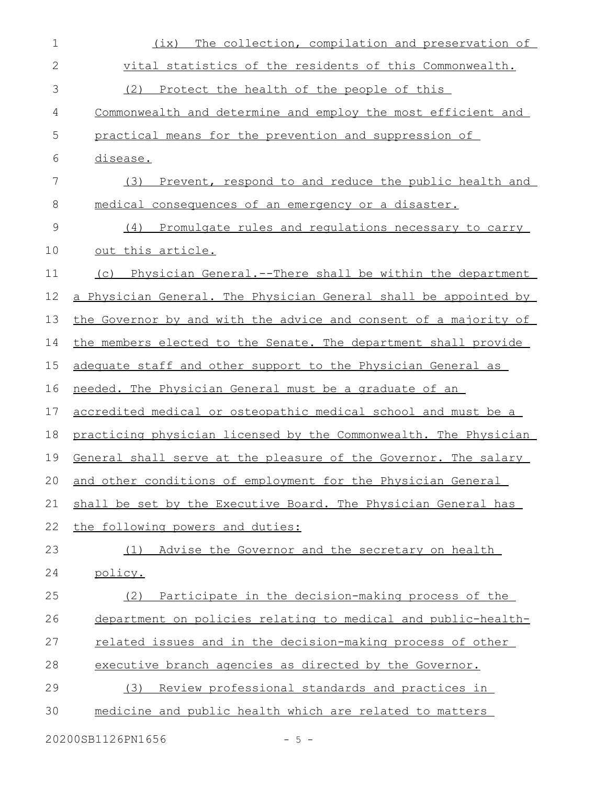| 1             | The collection, compilation and preservation of<br>(ix)          |
|---------------|------------------------------------------------------------------|
| $\mathbf{2}$  | vital statistics of the residents of this Commonwealth.          |
| 3             | (2) Protect the health of the people of this                     |
| 4             | Commonwealth and determine and employ the most efficient and     |
| 5             | practical means for the prevention and suppression of            |
| 6             | disease.                                                         |
| 7             | Prevent, respond to and reduce the public health and<br>(3)      |
| 8             | medical consequences of an emergency or a disaster.              |
| $\mathcal{G}$ | Promulgate rules and regulations necessary to carry<br>(4)       |
| 10            | out this article.                                                |
| 11            | (c) Physician General.--There shall be within the department     |
| 12            | a Physician General. The Physician General shall be appointed by |
| 13            | the Governor by and with the advice and consent of a majority of |
| 14            | the members elected to the Senate. The department shall provide  |
| 15            | adequate staff and other support to the Physician General as     |
| 16            | needed. The Physician General must be a graduate of an           |
| 17            | accredited medical or osteopathic medical school and must be a   |
| 18            | practicing physician licensed by the Commonwealth. The Physician |
| 19            | General shall serve at the pleasure of the Governor. The salary  |
| 20            | and other conditions of employment for the Physician General     |
| 21            | shall be set by the Executive Board. The Physician General has   |
| 22            | the following powers and duties:                                 |
| 23            | (1)<br>Advise the Governor and the secretary on health           |
| 24            | policy.                                                          |
| 25            | Participate in the decision-making process of the<br>(2)         |
| 26            | department on policies relating to medical and public-health-    |
| 27            | related issues and in the decision-making process of other       |
| 28            | executive branch agencies as directed by the Governor.           |
| 29            | Review professional standards and practices in<br>(3)            |
| 30            | medicine and public health which are related to matters          |
|               |                                                                  |

20200SB1126PN1656 - 5 -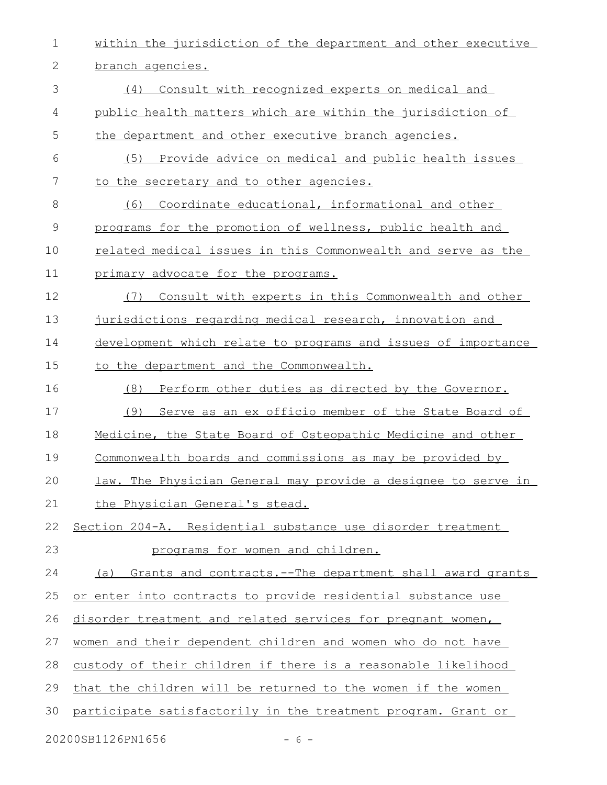within the jurisdiction of the department and other executive branch agencies. (4) Consult with recognized experts on medical and public health matters which are within the jurisdiction of the department and other executive branch agencies. (5) Provide advice on medical and public health issues to the secretary and to other agencies. (6) Coordinate educational, informational and other programs for the promotion of wellness, public health and related medical issues in this Commonwealth and serve as the primary advocate for the programs. (7) Consult with experts in this Commonwealth and other jurisdictions regarding medical research, innovation and development which relate to programs and issues of importance to the department and the Commonwealth. (8) Perform other duties as directed by the Governor. (9) Serve as an ex officio member of the State Board of Medicine, the State Board of Osteopathic Medicine and other Commonwealth boards and commissions as may be provided by law. The Physician General may provide a designee to serve in the Physician General's stead. Section 204-A. Residential substance use disorder treatment programs for women and children. (a) Grants and contracts.--The department shall award grants or enter into contracts to provide residential substance use disorder treatment and related services for pregnant women, women and their dependent children and women who do not have custody of their children if there is a reasonable likelihood that the children will be returned to the women if the women participate satisfactorily in the treatment program. Grant or 1 2 3 4 5 6 7 8 9 10 11 12 13 14 15 16 17 18 19 20 21 22 23 24 25 26 27 28 29 30

20200SB1126PN1656 - 6 -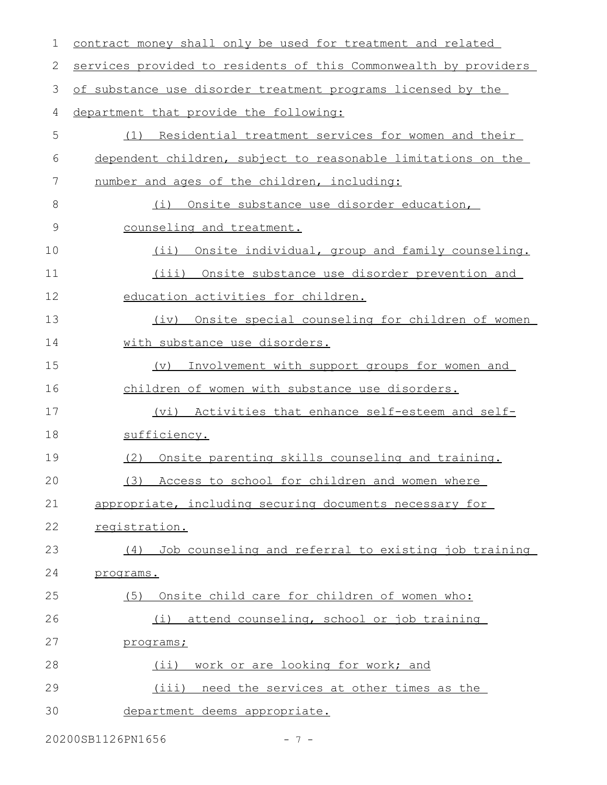| 1  | contract money shall only be used for treatment and related      |
|----|------------------------------------------------------------------|
| 2  | services provided to residents of this Commonwealth by providers |
| 3  | of substance use disorder treatment programs licensed by the     |
| 4  | department that provide the following:                           |
| 5  | <u>Residential treatment services for women and their</u><br>(1) |
| 6  | dependent children, subject to reasonable limitations on the     |
| 7  | number and ages of the children, including:                      |
| 8  | Onsite substance use disorder education,<br>(i)                  |
| 9  | counseling and treatment.                                        |
| 10 | Onsite individual, group and family counseling.<br>$(i$ i)       |
| 11 | Onsite substance use disorder prevention and<br>(iii)            |
| 12 | education activities for children.                               |
| 13 | (iv) Onsite special counseling for children of women             |
| 14 | with substance use disorders.                                    |
| 15 | Involvement with support groups for women and<br>(v)             |
| 16 | children of women with substance use disorders.                  |
| 17 | (vi) Activities that enhance self-esteem and self-               |
| 18 | sufficiency.                                                     |
| 19 | Onsite parenting skills counseling and training.<br>(2)          |
| 20 | (3) Access to school for children and women where                |
| 21 | appropriate, including securing documents necessary for          |
| 22 | registration.                                                    |
| 23 | Job counseling and referral to existing job training<br>(4)      |
| 24 | programs.                                                        |
| 25 | Onsite child care for children of women who:<br>(5)              |
| 26 | attend counseling, school or job training<br>(i)                 |
| 27 | programs;                                                        |
| 28 | (ii) work or are looking for work; and                           |
| 29 | (iii) need the services at other times as the                    |
| 30 | department deems appropriate.                                    |
|    |                                                                  |

20200SB1126PN1656 - 7 -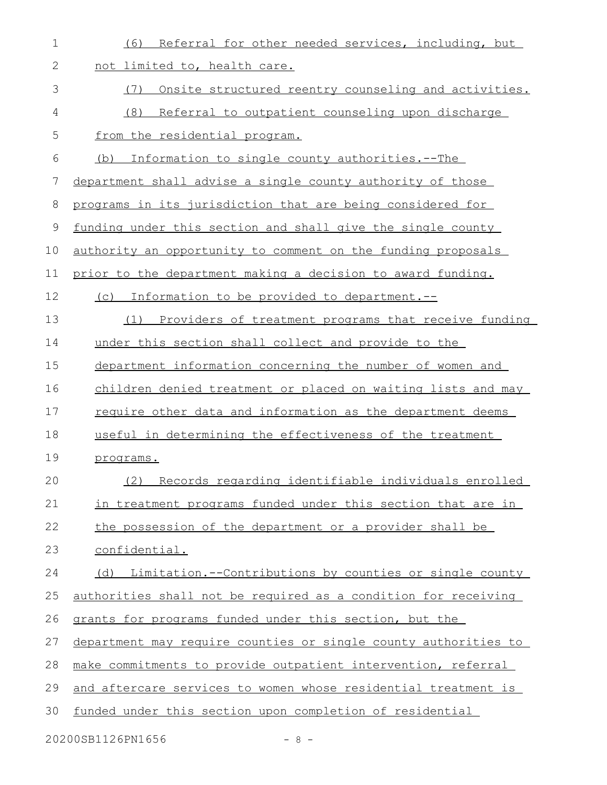| $\mathbf 1$ | Referral for other needed services, including, but<br>(6)       |
|-------------|-----------------------------------------------------------------|
| 2           | not limited to, health care.                                    |
| 3           | (7)<br>Onsite structured reentry counseling and activities.     |
| 4           | (8)<br>Referral to outpatient counseling upon discharge         |
| 5           | from the residential program.                                   |
| 6           | Information to single county authorities.--The<br>(b)           |
| 7           | department shall advise a single county authority of those      |
| 8           | programs in its jurisdiction that are being considered for      |
| 9           | funding under this section and shall give the single county     |
| 10          | authority an opportunity to comment on the funding proposals    |
| 11          | prior to the department making a decision to award funding.     |
| 12          | (c) Information to be provided to department.--                 |
| 13          | Providers of treatment programs that receive funding<br>(1)     |
| 14          | under this section shall collect and provide to the             |
| 15          | department information concerning the number of women and       |
| 16          | children denied treatment or placed on waiting lists and may    |
| 17          | require other data and information as the department deems      |
| 18          | useful in determining the effectiveness of the treatment        |
| 19          | programs.                                                       |
| 20          | (2) Records regarding identifiable individuals enrolled         |
| 21          | in treatment programs funded under this section that are in     |
| 22          | the possession of the department or a provider shall be         |
| 23          | confidential.                                                   |
| 24          | (d) Limitation.--Contributions by counties or single county     |
| 25          | authorities shall not be required as a condition for receiving  |
| 26          | grants for programs funded under this section, but the          |
| 27          | department may require counties or single county authorities to |
| 28          | make commitments to provide outpatient intervention, referral   |
| 29          | and aftercare services to women whose residential treatment is  |
| 30          | funded under this section upon completion of residential        |
|             | 20200SB1126PN1656<br>$-8-$                                      |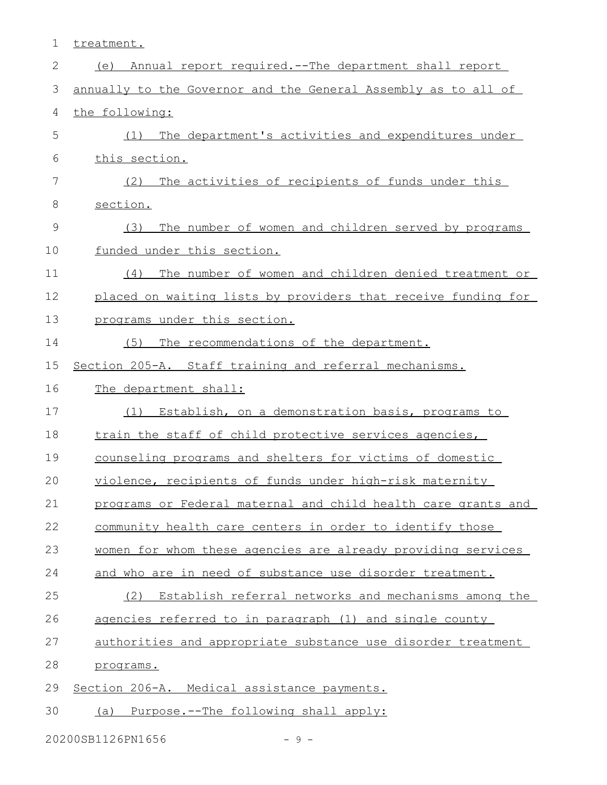treatment. (e) Annual report required.--The department shall report annually to the Governor and the General Assembly as to all of the following: (1) The department's activities and expenditures under this section. (2) The activities of recipients of funds under this section. (3) The number of women and children served by programs funded under this section. (4) The number of women and children denied treatment or placed on waiting lists by providers that receive funding for programs under this section. (5) The recommendations of the department. Section 205-A. Staff training and referral mechanisms. The department shall: (1) Establish, on a demonstration basis, programs to train the staff of child protective services agencies, counseling programs and shelters for victims of domestic violence, recipients of funds under high-risk maternity programs or Federal maternal and child health care grants and community health care centers in order to identify those women for whom these agencies are already providing services and who are in need of substance use disorder treatment. (2) Establish referral networks and mechanisms among the agencies referred to in paragraph (1) and single county authorities and appropriate substance use disorder treatment programs. Section 206-A. Medical assistance payments. (a) Purpose.--The following shall apply: 1 2 3 4 5 6 7 8 9 10 11 12 13 14 15 16 17 18 19 20 21 22 23 24 25 26 27 28 29 30

 $20200$ SB1126PN1656 - 9 -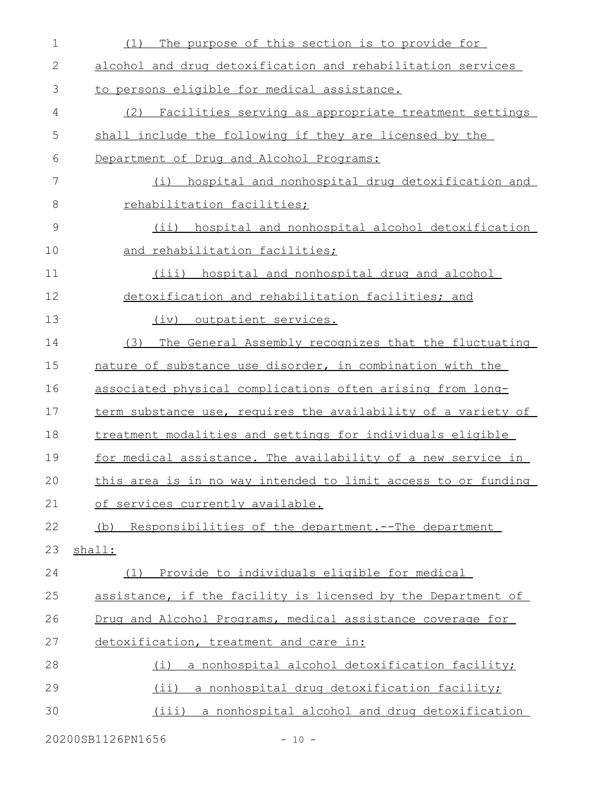| $\mathbf 1$ | The purpose of this section is to provide for<br>(1)                |
|-------------|---------------------------------------------------------------------|
| 2           | alcohol and drug detoxification and rehabilitation services         |
| 3           | to persons eligible for medical assistance.                         |
| 4           | (2) Facilities serving as appropriate treatment settings            |
| 5           | shall include the following if they are licensed by the             |
| 6           | Department of Drug and Alcohol Programs:                            |
| 7           | hospital and nonhospital drug detoxification and<br>(i)             |
| 8           | rehabilitation facilities;                                          |
| 9           | (ii) hospital and nonhospital alcohol detoxification                |
| 10          | and rehabilitation facilities;                                      |
| 11          | (iii) hospital and nonhospital drug and alcohol                     |
| 12          | detoxification and rehabilitation facilities; and                   |
| 13          | (iv) outpatient services.                                           |
| 14          | The General Assembly recognizes that the fluctuating<br>(3)         |
| 15          | nature of substance use disorder, in combination with the           |
| 16          | associated physical complications often arising from long-          |
| 17          | term substance use, requires the availability of a variety of       |
| 18          | treatment modalities and settings for individuals eligible          |
| 19          | <u>for medical assistance. The availability of a new service in</u> |
| 20          | this area is in no way intended to limit access to or funding       |
| 21          | of services currently available.                                    |
| 22          | (b) Responsibilities of the department.--The department             |
| 23          | shall:                                                              |
| 24          | (1) Provide to individuals eligible for medical                     |
| 25          | assistance, if the facility is licensed by the Department of        |
| 26          | Drug and Alcohol Programs, medical assistance coverage for          |
| 27          | detoxification, treatment and care in:                              |
| 28          | a nonhospital alcohol detoxification facility;<br>(i)               |
| 29          | (ii) a nonhospital drug detoxification facility;                    |
| 30          | (iii) a nonhospital alcohol and drug detoxification                 |
|             |                                                                     |

20200SB1126PN1656 - 10 -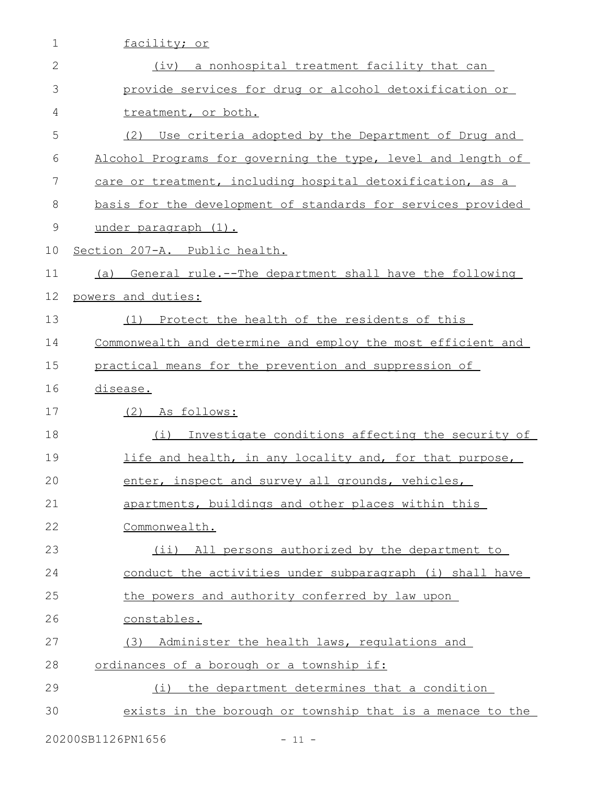| $\mathbf 1$  | facility; or                                                 |
|--------------|--------------------------------------------------------------|
| $\mathbf{2}$ | (iv) a nonhospital treatment facility that can               |
| 3            | provide services for drug or alcohol detoxification or       |
| 4            | treatment, or both.                                          |
| 5            | (2)<br>Use criteria adopted by the Department of Drug and    |
| 6            | Alcohol Programs for governing the type, level and length of |
| 7            | care or treatment, including hospital detoxification, as a   |
| 8            | basis for the development of standards for services provided |
| $\mathsf 9$  | under paragraph (1).                                         |
| 10           | Section 207-A. Public health.                                |
| 11           | (a) General rule.--The department shall have the following   |
| 12           | powers and duties:                                           |
| 13           | (1) Protect the health of the residents of this              |
| 14           | Commonwealth and determine and employ the most efficient and |
| 15           | practical means for the prevention and suppression of        |
| 16           | disease.                                                     |
| 17           | (2) As follows:                                              |
| 18           | Investigate conditions affecting the security of<br>(i)      |
| 19           | life and health, in any locality and, for that purpose,      |
| 20           | enter, inspect and survey all grounds, vehicles,             |
| 21           | apartments, buildings and other places within this           |
| 22           | Commonwealth.                                                |
| 23           | (ii) All persons authorized by the department to             |
| 24           | conduct the activities under subparagraph (i) shall have     |
| 25           | the powers and authority conferred by law upon               |
| 26           | constables.                                                  |
| 27           | Administer the health laws, requlations and<br>(3)           |
| 28           | ordinances of a borough or a township if:                    |
| 29           | the department determines that a condition<br>(i)            |
| 30           | exists in the borough or township that is a menace to the    |
|              |                                                              |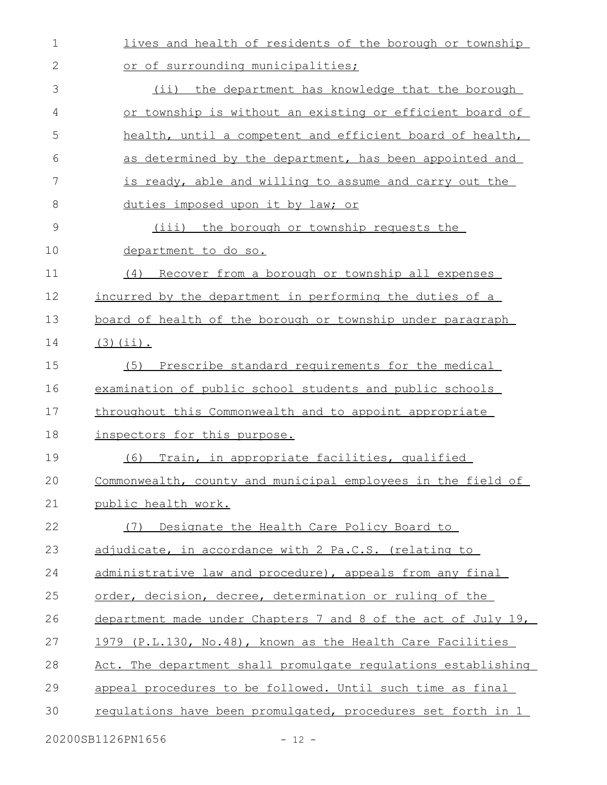| $\mathbf 1$  | lives and health of residents of the borough or township      |
|--------------|---------------------------------------------------------------|
| $\mathbf{2}$ | or of surrounding municipalities;                             |
| 3            | (ii) the department has knowledge that the borough            |
| 4            | or township is without an existing or efficient board of      |
| 5            | health, until a competent and efficient board of health,      |
| 6            | as determined by the department, has been appointed and       |
| 7            | is ready, able and willing to assume and carry out the        |
| 8            | duties imposed upon it by law; or                             |
| 9            | (iii) the borough or township requests the                    |
| 10           | department to do so.                                          |
| 11           | Recover from a borough or township all expenses<br>(4)        |
| 12           | incurred by the department in performing the duties of a      |
| 13           | board of health of the borough or township under paragraph    |
| 14           | $(3)(ii)$ .                                                   |
| 15           | Prescribe standard requirements for the medical<br>(5)        |
| 16           | examination of public school students and public schools      |
| 17           | throughout this Commonwealth and to appoint appropriate       |
| 18           | inspectors for this purpose.                                  |
| 19           | Train, in appropriate facilities, qualified<br>(6)            |
| 20           | Commonwealth, county and municipal employees in the field of  |
| 21           | public health work.                                           |
| 22           | Designate the Health Care Policy Board to<br>(7)              |
| 23           | adjudicate, in accordance with 2 Pa.C.S. (relating to         |
| 24           | administrative law and procedure), appeals from any final     |
| 25           | order, decision, decree, determination or ruling of the       |
| 26           | department made under Chapters 7 and 8 of the act of July 19, |
| 27           | 1979 (P.L.130, No.48), known as the Health Care Facilities    |
| 28           | Act. The department shall promulgate requlations establishing |
| 29           | appeal procedures to be followed. Until such time as final    |
| 30           | requiations have been promulgated, procedures set forth in 1  |
|              |                                                               |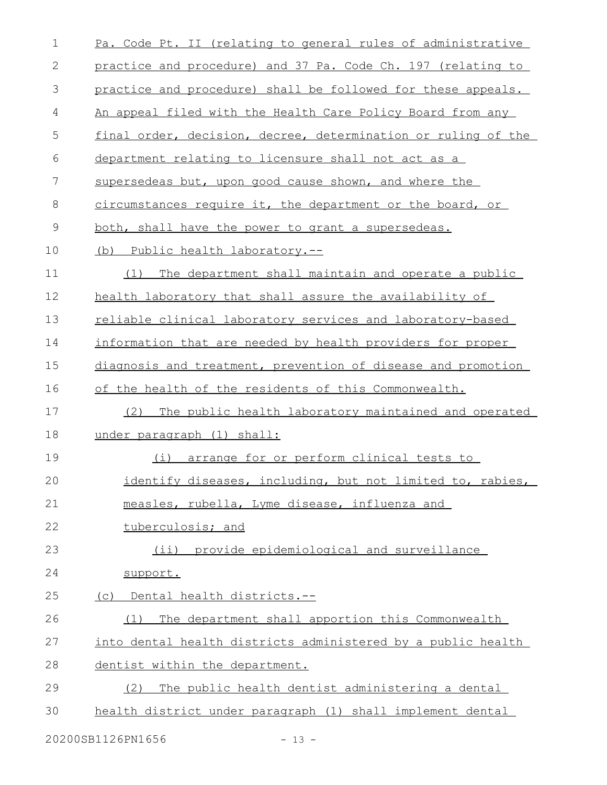| 1             | Pa. Code Pt. II (relating to general rules of administrative  |
|---------------|---------------------------------------------------------------|
| 2             | practice and procedure) and 37 Pa. Code Ch. 197 (relating to  |
| $\mathcal{S}$ | practice and procedure) shall be followed for these appeals.  |
| 4             | An appeal filed with the Health Care Policy Board from any    |
| 5             | final order, decision, decree, determination or ruling of the |
| 6             | department relating to licensure shall not act as a           |
| 7             | supersedeas but, upon good cause shown, and where the         |
| 8             | circumstances require it, the department or the board, or     |
| $\mathsf 9$   | both, shall have the power to grant a supersedeas.            |
| 10            | (b) Public health laboratory.--                               |
| 11            | The department shall maintain and operate a public<br>(1)     |
| 12            | health laboratory that shall assure the availability of       |
| 13            | reliable clinical laboratory services and laboratory-based    |
| 14            | information that are needed by health providers for proper    |
| 15            | diagnosis and treatment, prevention of disease and promotion  |
| 16            | of the health of the residents of this Commonwealth.          |
| 17            | The public health laboratory maintained and operated<br>(2)   |
| 18            | under paragraph (1) shall:                                    |
| 19            | arrange for or perform clinical tests to<br>(i)               |
| 20            | identify diseases, including, but not limited to, rabies,     |
| 21            | measles, rubella, Lyme disease, influenza and                 |
| 22            | tuberculosis; and                                             |
| 23            | (ii) provide epidemiological and surveillance                 |
| 24            | support.                                                      |
| 25            | Dental health districts.--<br>(C)                             |
| 26            | The department shall apportion this Commonwealth<br>(1)       |
| 27            | into dental health districts administered by a public health  |
| 28            | dentist within the department.                                |
| 29            | The public health dentist administering a dental<br>(2)       |
| 30            | health district under paragraph (1) shall implement dental    |
|               |                                                               |

20200SB1126PN1656 - 13 -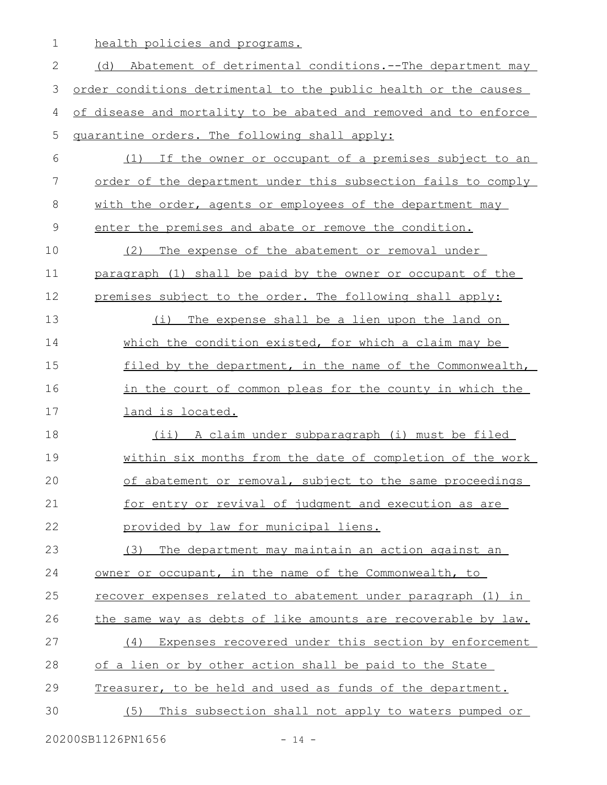health policies and programs. 1

(d) Abatement of detrimental conditions. -- The department may order conditions detrimental to the public health or the causes of disease and mortality to be abated and removed and to enforce quarantine orders. The following shall apply: (1) If the owner or occupant of a premises subject to an order of the department under this subsection fails to comply with the order, agents or employees of the department may enter the premises and abate or remove the condition. (2) The expense of the abatement or removal under paragraph (1) shall be paid by the owner or occupant of the premises subject to the order. The following shall apply: (i) The expense shall be a lien upon the land on which the condition existed, for which a claim may be filed by the department, in the name of the Commonwealth, in the court of common pleas for the county in which the land is located. (ii) A claim under subparagraph (i) must be filed within six months from the date of completion of the work of abatement or removal, subject to the same proceedings for entry or revival of judgment and execution as are provided by law for municipal liens. (3) The department may maintain an action against an owner or occupant, in the name of the Commonwealth, to recover expenses related to abatement under paragraph (1) in the same way as debts of like amounts are recoverable by law. (4) Expenses recovered under this section by enforcement of a lien or by other action shall be paid to the State Treasurer, to be held and used as funds of the department. (5) This subsection shall not apply to waters pumped or 2 3 4 5 6 7 8 9 10 11 12 13 14 15 16 17 18 19 20 21 22 23 24 25 26 27 28 29 30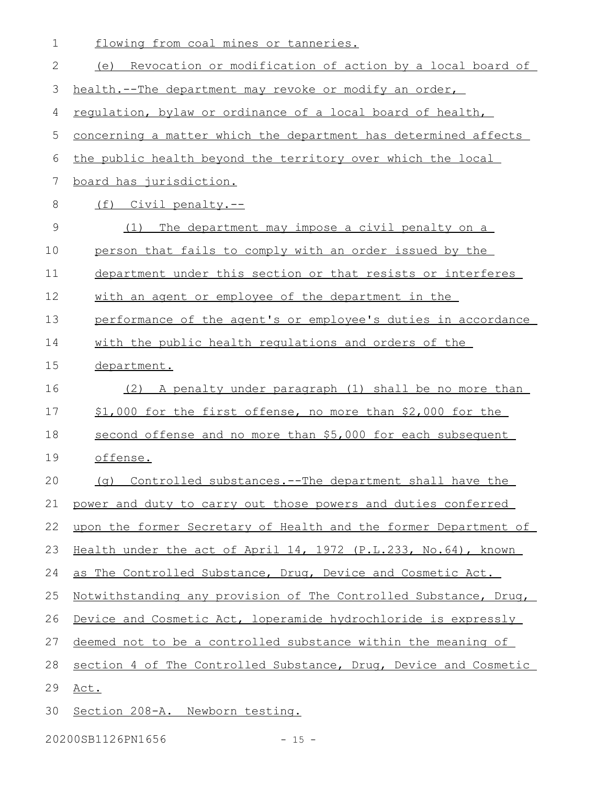| $\mathbf 1$ | flowing from coal mines or tanneries.                            |
|-------------|------------------------------------------------------------------|
| 2           | (e) Revocation or modification of action by a local board of     |
| 3           | health.--The department may revoke or modify an order,           |
| 4           | regulation, bylaw or ordinance of a local board of health,       |
| 5           | concerning a matter which the department has determined affects  |
| 6           | the public health beyond the territory over which the local      |
| 7           | <u>board has jurisdiction.</u>                                   |
| 8           | (f) Civil penalty.--                                             |
| 9           | The department may impose a civil penalty on a<br>(1)            |
| 10          | person that fails to comply with an order issued by the          |
| 11          | department under this section or that resists or interferes      |
| 12          | with an agent or employee of the department in the               |
| 13          | performance of the agent's or employee's duties in accordance    |
| 14          | with the public health regulations and orders of the             |
| 15          | department.                                                      |
| 16          | A penalty under paragraph (1) shall be no more than<br>(2)       |
| 17          | \$1,000 for the first offense, no more than \$2,000 for the      |
| 18          | second offense and no more than \$5,000 for each subsequent      |
| 19          | offense.                                                         |
| 20          | (g) Controlled substances.--The department shall have the        |
| 21          | power and duty to carry out those powers and duties conferred    |
| 22          | upon the former Secretary of Health and the former Department of |
| 23          | Health under the act of April 14, 1972 (P.L.233, No.64), known   |
| 24          | as The Controlled Substance, Drug, Device and Cosmetic Act.      |
| 25          | Notwithstanding any provision of The Controlled Substance, Drug, |
| 26          | Device and Cosmetic Act, loperamide hydrochloride is expressly   |
| 27          | deemed not to be a controlled substance within the meaning of    |
| 28          | section 4 of The Controlled Substance, Drug, Device and Cosmetic |
| 29          | Act.                                                             |
| 30          | Section 208-A. Newborn testing.                                  |

20200SB1126PN1656 - 15 -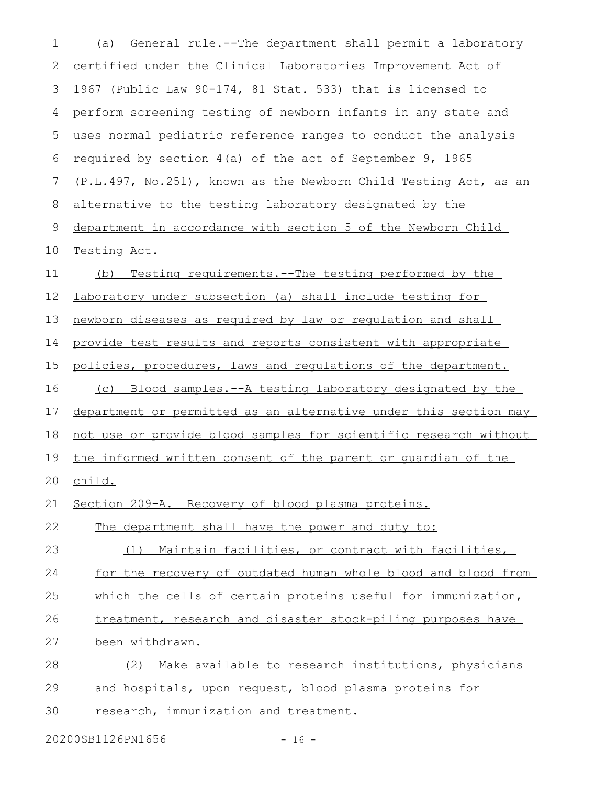| $\mathbf 1$ | General rule.--The department shall permit a laboratory<br>(a)   |
|-------------|------------------------------------------------------------------|
| 2           | certified under the Clinical Laboratories Improvement Act of     |
| 3           | 1967 (Public Law 90-174, 81 Stat. 533) that is licensed to       |
| 4           | perform screening testing of newborn infants in any state and    |
| 5           | uses normal pediatric reference ranges to conduct the analysis   |
| 6           | required by section 4(a) of the act of September 9, 1965         |
| 7           | (P.L.497, No.251), known as the Newborn Child Testing Act, as an |
| 8           | alternative to the testing laboratory designated by the          |
| 9           | department in accordance with section 5 of the Newborn Child     |
| 10          | Testing Act.                                                     |
| 11          | Testing requirements. -- The testing performed by the<br>(b)     |
| 12          | laboratory under subsection (a) shall include testing for        |
| 13          | newborn diseases as required by law or requlation and shall      |
| 14          | provide test results and reports consistent with appropriate     |
| 15          | policies, procedures, laws and requlations of the department.    |
| 16          | (c) Blood samples.--A testing laboratory designated by the       |
| 17          | department or permitted as an alternative under this section may |
| 18          | not use or provide blood samples for scientific research without |
| 19          | the informed written consent of the parent or quardian of the    |
| 20          | <u>child.</u>                                                    |
| 21          | Section 209-A. Recovery of blood plasma proteins.                |
| 22          | The department shall have the power and duty to:                 |
| 23          | Maintain facilities, or contract with facilities,<br>(1)         |
| 24          | for the recovery of outdated human whole blood and blood from    |
| 25          | which the cells of certain proteins useful for immunization,     |
| 26          | treatment, research and disaster stock-piling purposes have      |
| 27          | been withdrawn.                                                  |
| 28          | (2) Make available to research institutions, physicians          |
| 29          | and hospitals, upon request, blood plasma proteins for           |
| 30          | research, immunization and treatment.                            |

20200SB1126PN1656 - 16 -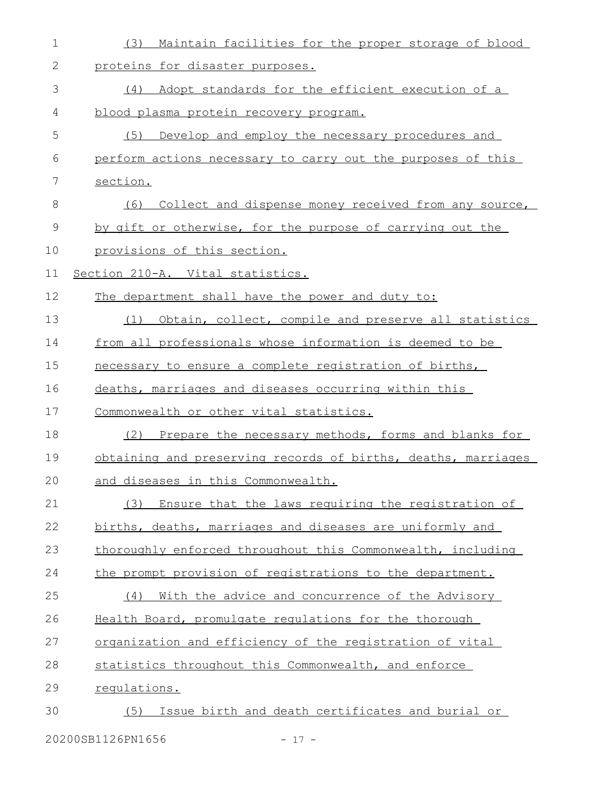| $\mathbf 1$ | Maintain facilities for the proper storage of blood<br>(3)    |
|-------------|---------------------------------------------------------------|
| 2           | proteins for disaster purposes.                               |
| 3           | Adopt standards for the efficient execution of a<br>(4)       |
| 4           | blood plasma protein recovery program.                        |
| 5           | (5)<br>Develop and employ the necessary procedures and        |
| 6           | perform actions necessary to carry out the purposes of this   |
| 7           | section.                                                      |
| 8           | (6) Collect and dispense money received from any source,      |
| 9           | by gift or otherwise, for the purpose of carrying out the     |
| 10          | provisions of this section.                                   |
| 11          | Section 210-A. Vital statistics.                              |
| 12          | The department shall have the power and duty to:              |
| 13          | Obtain, collect, compile and preserve all statistics<br>(1)   |
| 14          | from all professionals whose information is deemed to be      |
| 15          | necessary to ensure a complete registration of births,        |
| 16          | deaths, marriages and diseases occurring within this          |
| 17          | Commonwealth or other vital statistics.                       |
| 18          | Prepare the necessary methods, forms and blanks for<br>(2)    |
| 19          | obtaining and preserving records of births, deaths, marriages |
| 20          | and diseases in this Commonwealth.                            |
| 21          | Ensure that the laws requiring the registration of<br>(3)     |
| 22          | births, deaths, marriages and diseases are uniformly and      |
| 23          | thoroughly enforced throughout this Commonwealth, including   |
| 24          | the prompt provision of registrations to the department.      |
| 25          | With the advice and concurrence of the Advisory<br>(4)        |
| 26          | Health Board, promulgate regulations for the thorough         |
| 27          | organization and efficiency of the registration of vital      |
| 28          | statistics throughout this Commonwealth, and enforce          |
| 29          | requlations.                                                  |
| 30          | Issue birth and death certificates and burial or<br>(5)       |
|             |                                                               |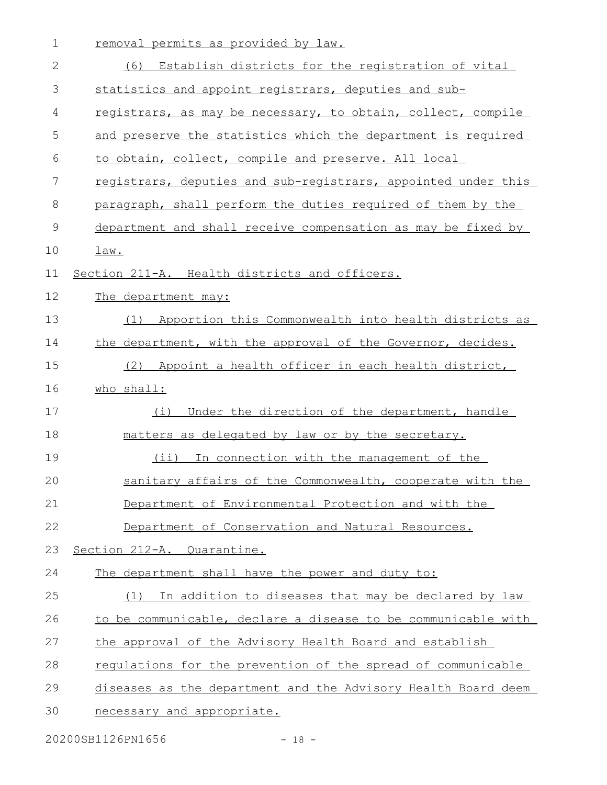| $\mathbf 1$ | removal permits as provided by law.                           |
|-------------|---------------------------------------------------------------|
| 2           | Establish districts for the registration of vital<br>(6)      |
| 3           | statistics and appoint registrars, deputies and sub-          |
| 4           | registrars, as may be necessary, to obtain, collect, compile  |
| 5           | and preserve the statistics which the department is required  |
| 6           | to obtain, collect, compile and preserve. All local           |
| 7           | registrars, deputies and sub-registrars, appointed under this |
| 8           | paragraph, shall perform the duties required of them by the   |
| 9           | department and shall receive compensation as may be fixed by  |
| 10          | law.                                                          |
| 11          | Section 211-A. Health districts and officers.                 |
| 12          | The department may:                                           |
| 13          | Apportion this Commonwealth into health districts as<br>(1)   |
| 14          | the department, with the approval of the Governor, decides.   |
| 15          | Appoint a health officer in each health district,<br>(2)      |
| 16          | who shall:                                                    |
| 17          | Under the direction of the department, handle<br>(i)          |
| 18          | matters as delegated by law or by the secretary.              |
| 19          | (i)<br>In connection with the management of the               |
| 20          | sanitary affairs of the Commonwealth, cooperate with the      |
| 21          | Department of Environmental Protection and with the           |
| 22          | Department of Conservation and Natural Resources.             |
| 23          | Section 212-A. Quarantine.                                    |
| 24          | The department shall have the power and duty to:              |
| 25          | (1) In addition to diseases that may be declared by law       |
| 26          | to be communicable, declare a disease to be communicable with |
| 27          | the approval of the Advisory Health Board and establish       |
| 28          | regulations for the prevention of the spread of communicable  |
| 29          | diseases as the department and the Advisory Health Board deem |
| 30          | necessary and appropriate.                                    |
|             |                                                               |

20200SB1126PN1656 - 18 -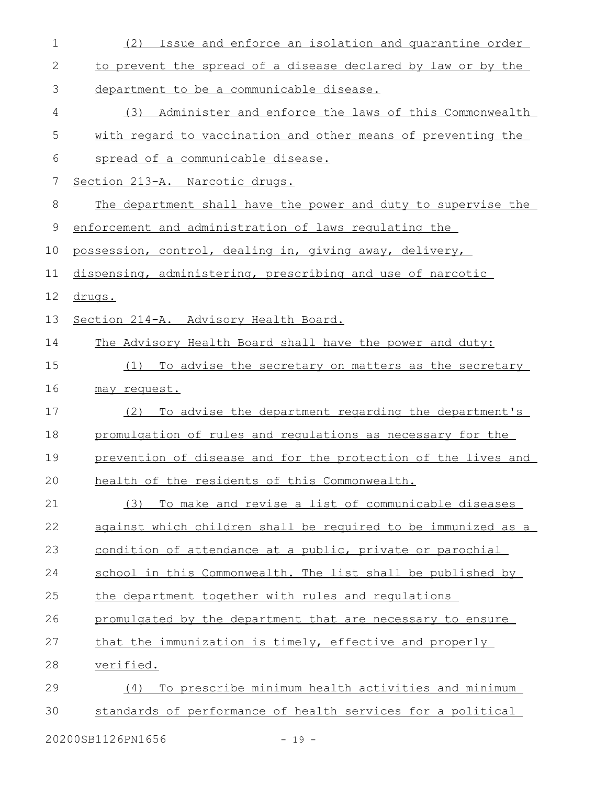| $\mathbf 1$ | Issue and enforce an isolation and quarantine order<br>(2)    |
|-------------|---------------------------------------------------------------|
| 2           | to prevent the spread of a disease declared by law or by the  |
| 3           | department to be a communicable disease.                      |
| 4           | Administer and enforce the laws of this Commonwealth<br>(3)   |
| 5           | with regard to vaccination and other means of preventing the  |
| 6           | spread of a communicable disease.                             |
| 7           | Section 213-A. Narcotic drugs.                                |
| 8           | The department shall have the power and duty to supervise the |
| $\mathsf 9$ | enforcement and administration of laws requlating the         |
| 10          | possession, control, dealing in, giving away, delivery,       |
| 11          | dispensing, administering, prescribing and use of narcotic    |
| 12          | drugs.                                                        |
| 13          | Section 214-A. Advisory Health Board.                         |
| 14          | The Advisory Health Board shall have the power and duty:      |
| 15          | To advise the secretary on matters as the secretary<br>(1)    |
| 16          | may request.                                                  |
| 17          | To advise the department regarding the department's<br>(2)    |
| 18          | promulgation of rules and regulations as necessary for the    |
| 19          | prevention of disease and for the protection of the lives and |
| 20          | health of the residents of this Commonwealth.                 |
| 21          | To make and revise a list of communicable diseases<br>(3)     |
| 22          | against which children shall be required to be immunized as a |
| 23          | condition of attendance at a public, private or parochial     |
| 24          | school in this Commonwealth. The list shall be published by   |
| 25          | the department together with rules and regulations            |
| 26          | promulgated by the department that are necessary to ensure    |
| 27          | that the immunization is timely, effective and properly       |
| 28          | <u>verified.</u>                                              |
| 29          | To prescribe minimum health activities and minimum<br>(4)     |
| 30          | standards of performance of health services for a political   |
|             |                                                               |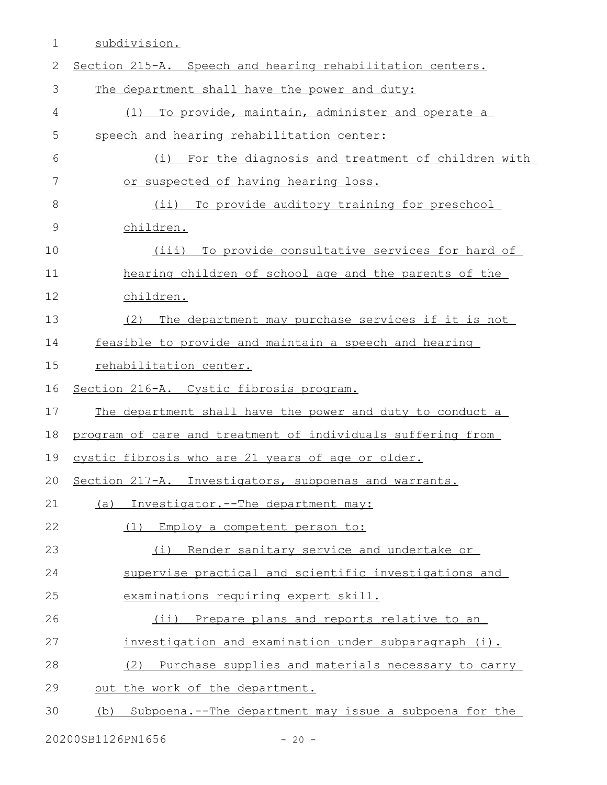1 subdivision.

| $\mathbf{2}$ | Section 215-A. Speech and hearing rehabilitation centers.   |
|--------------|-------------------------------------------------------------|
| 3            | The department shall have the power and duty:               |
| 4            | To provide, maintain, administer and operate a<br>(1)       |
| 5            | speech and hearing rehabilitation center:                   |
| 6            | For the diagnosis and treatment of children with<br>(i)     |
| 7            | or suspected of having hearing loss.                        |
| 8            | (ii) To provide auditory training for preschool             |
| $\mathsf 9$  | children.                                                   |
| 10           | (iii) To provide consultative services for hard of          |
| 11           | hearing children of school age and the parents of the       |
| 12           | children.                                                   |
| 13           | The department may purchase services if it is not<br>(2)    |
| 14           | feasible to provide and maintain a speech and hearing       |
| 15           | rehabilitation center.                                      |
| 16           | Section 216-A. Cystic fibrosis program.                     |
| 17           | The department shall have the power and duty to conduct a   |
| 18           | program of care and treatment of individuals suffering from |
| 19           | cystic fibrosis who are 21 years of age or older.           |
| 20           | Section 217-A. Investigators, subpoenas and warrants.       |
| 21           | (a) Investigator.--The department may:                      |
| 22           | (1)<br>Employ a competent person to:                        |
| 23           | Render sanitary service and undertake or<br>(i)             |
| 24           | supervise practical and scientific investigations and       |
| 25           | examinations requiring expert skill.                        |
| 26           | (ii) Prepare plans and reports relative to an               |
| 27           | investigation and examination under subparagraph (i).       |
| 28           | Purchase supplies and materials necessary to carry<br>(2)   |
| 29           | out the work of the department.                             |
| 30           | (b) Subpoena.--The department may issue a subpoena for the  |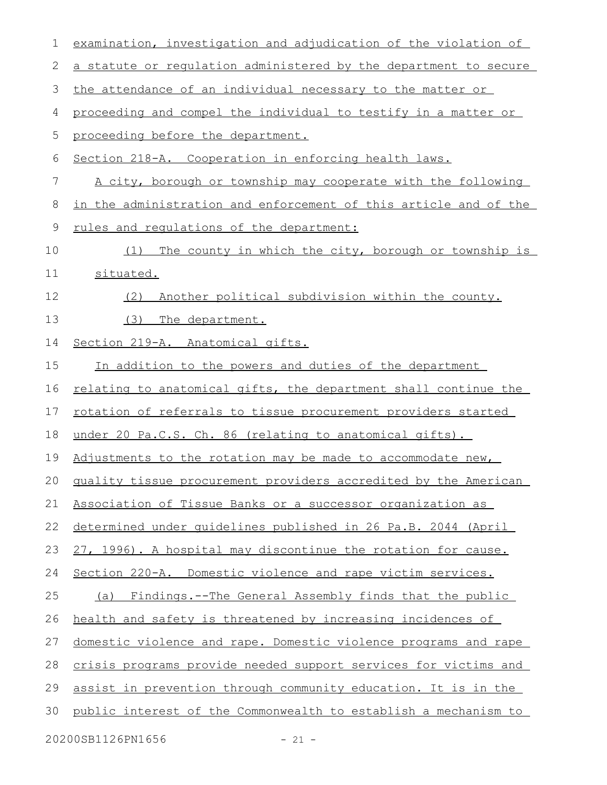| 1  | examination, investigation and adjudication of the violation of        |
|----|------------------------------------------------------------------------|
| 2  | a statute or regulation administered by the department to secure       |
| 3  | the attendance of an individual necessary to the matter or             |
| 4  | proceeding and compel the individual to testify in a matter or         |
| 5  | proceeding before the department.                                      |
| 6  | Section 218-A. Cooperation in enforcing health laws.                   |
| 7  | A city, borough or township may cooperate with the following           |
| 8  | in the administration and enforcement of this article and of the       |
| 9  | rules and requlations of the department:                               |
| 10 | The county in which the city, borough or township is<br>(1)            |
| 11 | situated.                                                              |
| 12 | Another political subdivision within the county.<br>(2)                |
| 13 | (3)<br>The department.                                                 |
| 14 | Section 219-A. Anatomical gifts.                                       |
| 15 | In addition to the powers and duties of the department                 |
| 16 | <u>relating to anatomical gifts, the department shall continue the</u> |
| 17 | rotation of referrals to tissue procurement providers started          |
| 18 | under 20 Pa.C.S. Ch. 86 (relating to anatomical gifts).                |
| 19 | Adjustments to the rotation may be made to accommodate new,            |
|    | 20 quality tissue procurement providers accredited by the American     |
| 21 | Association of Tissue Banks or a successor organization as             |
| 22 | determined under quidelines published in 26 Pa.B. 2044 (April          |
| 23 | 27, 1996). A hospital may discontinue the rotation for cause.          |
| 24 | Section 220-A. Domestic violence and rape victim services.             |
| 25 | (a) Findings.--The General Assembly finds that the public              |
| 26 | health and safety is threatened by increasing incidences of            |
| 27 | domestic violence and rape. Domestic violence programs and rape        |
| 28 | crisis programs provide needed support services for victims and        |
| 29 | assist in prevention through community education. It is in the         |
| 30 | public interest of the Commonwealth to establish a mechanism to        |
|    | 20200SB1126PN1656<br>$-21 -$                                           |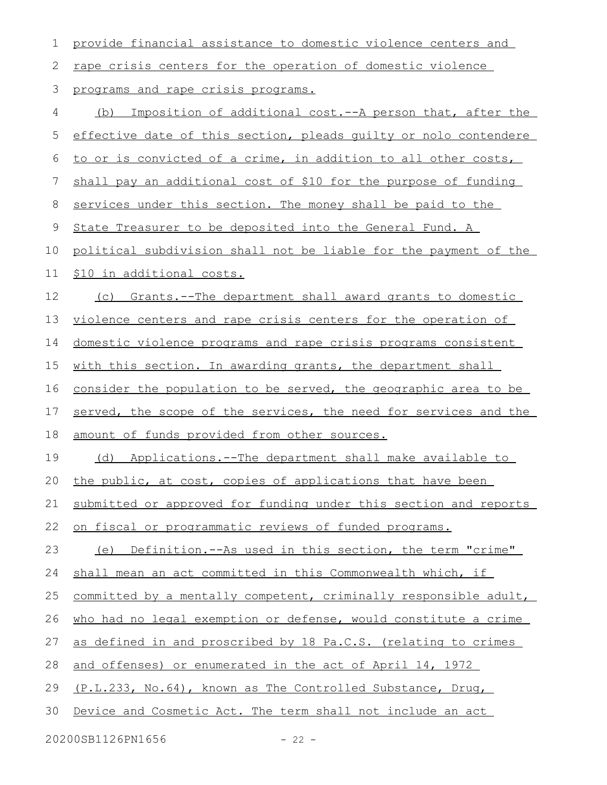| 1  | provide financial assistance to domestic violence centers and         |
|----|-----------------------------------------------------------------------|
| 2  | rape crisis centers for the operation of domestic violence            |
| 3  | programs and rape crisis programs.                                    |
| 4  | (b) Imposition of additional cost.--A person that, after the          |
| 5  | effective date of this section, pleads guilty or nolo contendere      |
| 6  | to or is convicted of a crime, in addition to all other costs,        |
| 7  | shall pay an additional cost of \$10 for the purpose of funding       |
| 8  | services under this section. The money shall be paid to the           |
| 9  | State Treasurer to be deposited into the General Fund. A              |
| 10 | political subdivision shall not be liable for the payment of the      |
| 11 | \$10 in additional costs.                                             |
| 12 | (c) Grants.--The department shall award grants to domestic            |
| 13 | violence centers and rape crisis centers for the operation of         |
| 14 | <u>domestic violence programs and rape crisis programs consistent</u> |
| 15 | with this section. In awarding grants, the department shall           |
| 16 | consider the population to be served, the geographic area to be       |
| 17 | served, the scope of the services, the need for services and the      |
| 18 | amount of funds provided from other sources.                          |
| 19 | (d) Applications.--The department shall make available to             |
| 20 | the public, at cost, copies of applications that have been            |
| 21 | submitted or approved for funding under this section and reports      |
| 22 | on fiscal or programmatic reviews of funded programs.                 |
| 23 | (e) Definition.--As used in this section, the term "crime"            |
| 24 | shall mean an act committed in this Commonwealth which, if            |
| 25 | committed by a mentally competent, criminally responsible adult,      |
| 26 | who had no legal exemption or defense, would constitute a crime       |
| 27 | as defined in and proscribed by 18 Pa.C.S. (relating to crimes        |
| 28 | and offenses) or enumerated in the act of April 14, 1972              |
| 29 | (P.L.233, No.64), known as The Controlled Substance, Drug,            |
| 30 | Device and Cosmetic Act. The term shall not include an act            |
|    | 20200SB1126PN1656<br>$-22 -$                                          |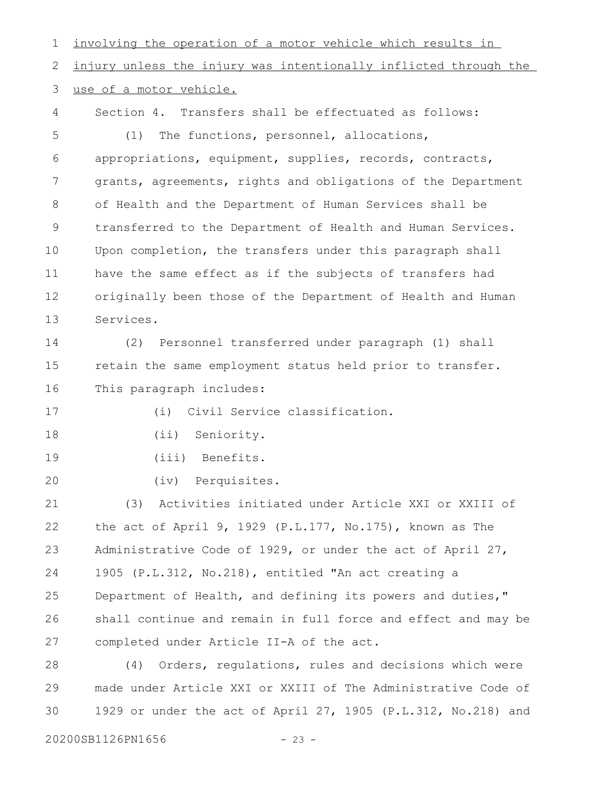involving the operation of a motor vehicle which results in injury unless the injury was intentionally inflicted through the use of a motor vehicle. Section 4. Transfers shall be effectuated as follows: (1) The functions, personnel, allocations, appropriations, equipment, supplies, records, contracts, grants, agreements, rights and obligations of the Department of Health and the Department of Human Services shall be transferred to the Department of Health and Human Services. Upon completion, the transfers under this paragraph shall have the same effect as if the subjects of transfers had originally been those of the Department of Health and Human Services. (2) Personnel transferred under paragraph (1) shall retain the same employment status held prior to transfer. This paragraph includes: (i) Civil Service classification. (ii) Seniority. (iii) Benefits. (iv) Perquisites. (3) Activities initiated under Article XXI or XXIII of the act of April 9, 1929 (P.L.177, No.175), known as The Administrative Code of 1929, or under the act of April 27, 1905 (P.L.312, No.218), entitled "An act creating a Department of Health, and defining its powers and duties," shall continue and remain in full force and effect and may be completed under Article II-A of the act. (4) Orders, regulations, rules and decisions which were made under Article XXI or XXIII of The Administrative Code of 1929 or under the act of April 27, 1905 (P.L.312, No.218) and 1 2 3 4 5 6 7 8 9 10 11 12 13 14 15 16 17 18 19 20 21 22 23 24 25 26 27 28 29

20200SB1126PN1656 - 23 -

30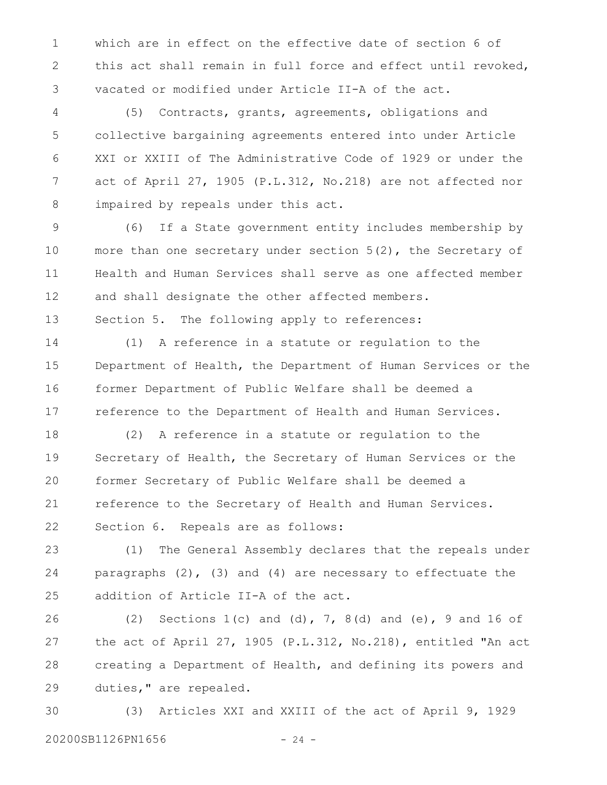which are in effect on the effective date of section 6 of this act shall remain in full force and effect until revoked, vacated or modified under Article II-A of the act. 1 2 3

(5) Contracts, grants, agreements, obligations and collective bargaining agreements entered into under Article XXI or XXIII of The Administrative Code of 1929 or under the act of April 27, 1905 (P.L.312, No.218) are not affected nor impaired by repeals under this act. 4 5 6 7 8

(6) If a State government entity includes membership by more than one secretary under section 5(2), the Secretary of Health and Human Services shall serve as one affected member and shall designate the other affected members. 9 10 11 12

Section 5. The following apply to references: 13

(1) A reference in a statute or regulation to the Department of Health, the Department of Human Services or the former Department of Public Welfare shall be deemed a reference to the Department of Health and Human Services. 14 15 16 17

(2) A reference in a statute or regulation to the Secretary of Health, the Secretary of Human Services or the former Secretary of Public Welfare shall be deemed a reference to the Secretary of Health and Human Services. Section 6. Repeals are as follows: 18 19 20 21 22

(1) The General Assembly declares that the repeals under paragraphs  $(2)$ ,  $(3)$  and  $(4)$  are necessary to effectuate the addition of Article II-A of the act. 23 24 25

(2) Sections 1(c) and (d), 7, 8(d) and (e), 9 and 16 of the act of April 27, 1905 (P.L.312, No.218), entitled "An act creating a Department of Health, and defining its powers and duties," are repealed. 26 27 28 29

(3) Articles XXI and XXIII of the act of April 9, 1929 20200SB1126PN1656 - 24 -30